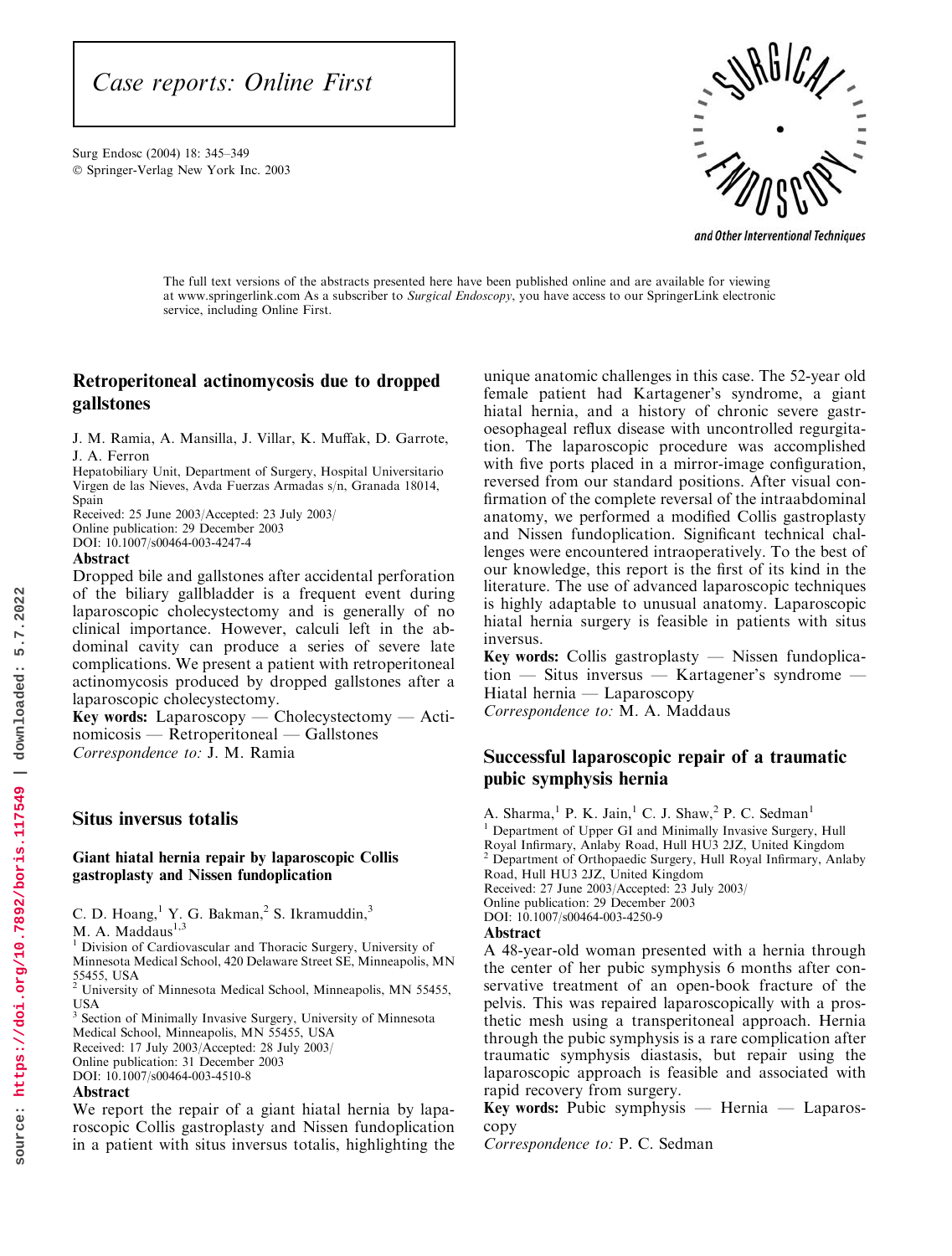SurgEndosc (2004) 18: 345–349 Springer-Verlag New York Inc. 2003



and Other Interventional Techniques

The full text versions of the abstracts presented here have been published online and are available for viewing at www.springerlink.com As a subscriber to Surgical Endoscopy, you have access to our SpringerLink electronic service, including Online First.

## Retroperitoneal actinomycosis due to dropped gallstones

J. M. Ramia, A. Mansilla, J. Villar, K. Muffak, D. Garrote, J. A. Ferron

Hepatobiliary Unit, Department of Surgery, Hospital Universitario Virgen de las Nieves, Avda Fuerzas Armadas s/n, Granada 18014, Spain

Received: 25 June 2003/Accepted: 23 July 2003/ Online publication: 29 December 2003

DOI: 10.1007/s00464-003-4247-4

### Abstract

Dropped bile and gallstones after accidental perforation of the biliary gallbladder is a frequent event during laparoscopic cholecystectomy and is generally of no clinical importance. However, calculi left in the abdominal cavity can produce a series of severe late complications. We present a patient with retroperitoneal actinomycosis produced by dropped gallstones after a laparoscopic cholecystectomy.

Key words: Laparoscopy — Cholecystectomy — Actinomicosis — Retroperitoneal — Gallstones Correspondence to: J. M. Ramia

## Situs inversus totalis

### Giant hiatal hernia repair by laparoscopic Collis gastroplasty and Nissen fundoplication

C. D. Hoang,<sup>1</sup> Y. G. Bakman,<sup>2</sup> S. Ikramuddin,<sup>3</sup>

 $M. A. Maddaus<sup>1,3</sup>$ 

<sup>1</sup> Division of Cardiovascular and Thoracic Surgery, University of Minnesota Medical School, 420 Delaware Street SE, Minneapolis, MN 55455, USA <sup>2</sup> University of Minnesota Medical School, Minneapolis, MN 55455,

USA

<sup>3</sup> Section of Minimally Invasive Surgery, University of Minnesota Medical School, Minneapolis, MN 55455, USA Received: 17 July 2003/Accepted: 28 July 2003/ Online publication: 31 December 2003 DOI: 10.1007/s00464-003-4510-8

### Abstract

We report the repair of a giant hiatal hernia by laparoscopic Collis gastroplasty and Nissen fundoplication in a patient with situs inversus totalis, highlighting the

unique anatomic challenges in this case. The 52-year old female patient had Kartagener's syndrome, a giant hiatal hernia, and a history of chronic severe gastroesophageal reflux disease with uncontrolled regurgitation. The laparoscopic procedure was accomplished with five ports placed in a mirror-image configuration, reversed from our standard positions. After visual confirmation of the complete reversal of the intraabdominal anatomy, we performed a modified Collis gastroplasty and Nissen fundoplication. Significant technical challenges were encountered intraoperatively. To the best of our knowledge, this report is the first of its kind in the literature. The use of advanced laparoscopic techniques is highly adaptable to unusual anatomy. Laparoscopic hiatal hernia surgery is feasible in patients with situs inversus.

Key words: Collis gastroplasty — Nissen fundoplication — Situs inversus — Kartagener's syndrome — Hiatal hernia — Laparoscopy Correspondence to: M. A. Maddaus

## Successful laparoscopic repair of a traumatic pubic symphysis hernia

A. Sharma,<sup>1</sup> P. K. Jain,<sup>1</sup> C. J. Shaw,<sup>2</sup> P. C. Sedman<sup>1</sup> <sup>1</sup> Department of Upper GI and Minimally Invasive Surgery, Hull Royal Infirmary, Anlaby Road, Hull HU3 2JZ, United Kingdom <sup>2</sup> Department of Orthopaedic Surgery, Hull Royal Infirmary, Anlaby Road, Hull HU3 2JZ, United Kingdom Received: 27 June 2003/Accepted: 23 July 2003/ Online publication: 29 December 2003 DOI: 10.1007/s00464-003-4250-9

## Abstract

A 48-year-old woman presented with a hernia through the center of her pubic symphysis 6 months after conservative treatment of an open-book fracture of the pelvis. This was repaired laparoscopically with a prosthetic mesh using a transperitoneal approach. Hernia through the pubic symphysis is a rare complication after traumatic symphysis diastasis, but repair using the laparoscopic approach is feasible and associated with rapid recovery from surgery.

Key words: Pubic symphysis — Hernia — Laparoscopy

Correspondence to: P. C. Sedman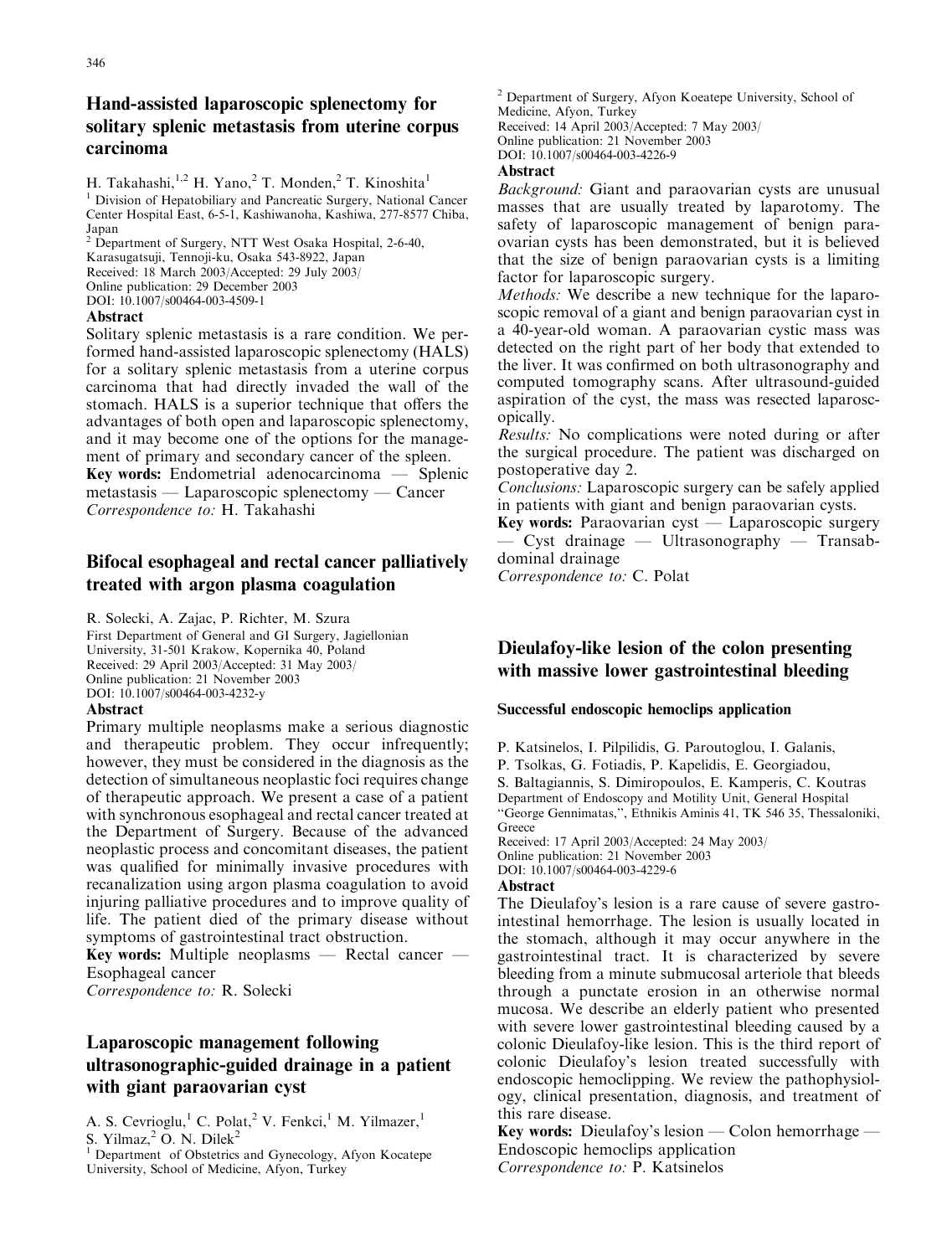# Hand-assisted laparoscopic splenectomy for solitary splenic metastasis from uterine corpus carcinoma

H. Takahashi,  $^{1,2}$  H. Yano,  $^{2}$  T. Monden,  $^{2}$  T. Kinoshita<sup>1</sup>

<sup>1</sup> Division of Hepatobiliary and Pancreatic Surgery, National Cancer Center Hospital East, 6-5-1, Kashiwanoha, Kashiwa, 277-8577 Chiba, Japan <sup>2</sup> Department of Surgery, NTT West Osaka Hospital, 2-6-40,

Karasugatsuji, Tennoji-ku, Osaka 543-8922, Japan

Received: 18 March 2003/Accepted: 29 July 2003/

Online publication: 29 December 2003 DOI: 10.1007/s00464-003-4509-1

### Abstract

Solitary splenic metastasis is a rare condition. We performed hand-assisted laparoscopic splenectomy (HALS) for a solitary splenic metastasis from a uterine corpus carcinoma that had directly invaded the wall of the stomach. HALS is a superior technique that offers the advantages of both open and laparoscopic splenectomy, and it may become one of the options for the management of primary and secondary cancer of the spleen. Key words: Endometrial adenocarcinoma — Splenic metastasis — Laparoscopic splenectomy — Cancer Correspondence to: H. Takahashi

# Bifocal esophageal and rectal cancer palliatively treated with argon plasma coagulation

R. Solecki, A. Zajac, P. Richter, M. Szura First Department of General and GI Surgery, Jagiellonian University, 31-501 Krakow, Kopernika 40, Poland Received: 29 April 2003/Accepted: 31 May 2003/ Online publication: 21 November 2003 DOI: 10.1007/s00464-003-4232-y

## Abstract

Primary multiple neoplasms make a serious diagnostic and therapeutic problem. They occur infrequently; however, they must be considered in the diagnosis as the detection of simultaneous neoplastic foci requires change of therapeutic approach. We present a case of a patient with synchronous esophageal and rectal cancer treated at the Department of Surgery. Because of the advanced neoplastic process and concomitant diseases, the patient was qualified for minimally invasive procedures with recanalization using argon plasma coagulation to avoid injuring palliative procedures and to improve quality of life. The patient died of the primary disease without symptoms of gastrointestinal tract obstruction.

Key words: Multiple neoplasms — Rectal cancer — Esophageal cancer

Correspondence to: R. Solecki

# Laparoscopic management following ultrasonographic-guided drainage in a patient with giant paraovarian cyst

A. S. Cevrioglu,<sup>1</sup> C. Polat,<sup>2</sup> V. Fenkci,<sup>1</sup> M. Yilmazer,<sup>1</sup> S. Yilmaz, $2$  O. N. Dilek $2$ 

<sup>1</sup> Department of Obstetrics and Gynecology, Afyon Kocatepe University, School of Medicine, Afyon, Turkey

<sup>2</sup> Department of Surgery, Afyon Koeatepe University, School of Medicine, Afyon, Turkey Received: 14 April 2003/Accepted: 7 May 2003/ Online publication: 21 November 2003 DOI: 10.1007/s00464-003-4226-9

## Abstract

*Background:* Giant and paraovarian cysts are unusual masses that are usually treated by laparotomy. The safety of laparoscopic management of benign paraovarian cysts has been demonstrated, but it is believed that the size of benign paraovarian cysts is a limiting factor for laparoscopic surgery.

Methods: We describe a new technique for the laparoscopic removal of a giant and benign paraovarian cyst in a 40-year-old woman. A paraovarian cystic mass was detected on the right part of her body that extended to the liver. It was confirmed on both ultrasonography and computed tomography scans. After ultrasound-guided aspiration of the cyst, the mass was resected laparoscopically.

Results: No complications were noted during or after the surgical procedure. The patient was discharged on postoperative day 2.

Conclusions: Laparoscopic surgery can be safely applied in patients with giant and benign paraovarian cysts.

Key words: Paraovarian cyst — Laparoscopic surgery — Cyst drainage — Ultrasonography — Transabdominal drainage

Correspondence to: C. Polat

# Dieulafoy-like lesion of the colon presenting with massive lower gastrointestinal bleeding

## Successful endoscopic hemoclips application

P. Katsinelos, I. Pilpilidis, G. Paroutoglou, I. Galanis, P. Tsolkas, G. Fotiadis, P. Kapelidis, E. Georgiadou, S. Baltagiannis, S. Dimiropoulos, E. Kamperis, C. Koutras Department of Endoscopy and Motility Unit, General Hospital ''George Gennimatas,'', Ethnikis Aminis 41, TK 546 35, Thessaloniki, Greece Received: 17 April 2003/Accepted: 24 May 2003/ Online publication: 21 November 2003

DOI: 10.1007/s00464-003-4229-6

### Abstract

The Dieulafoy's lesion is a rare cause of severe gastrointestinal hemorrhage. The lesion is usually located in the stomach, although it may occur anywhere in the gastrointestinal tract. It is characterized by severe bleeding from a minute submucosal arteriole that bleeds through a punctate erosion in an otherwise normal mucosa. We describe an elderly patient who presented with severe lower gastrointestinal bleeding caused by a colonic Dieulafoy-like lesion. This is the third report of colonic Dieulafoy's lesion treated successfully with endoscopic hemoclipping. We review the pathophysiology, clinical presentation, diagnosis, and treatment of this rare disease.

Key words: Dieulafoy's lesion — Colon hemorrhage — Endoscopic hemoclips application Correspondence to: P. Katsinelos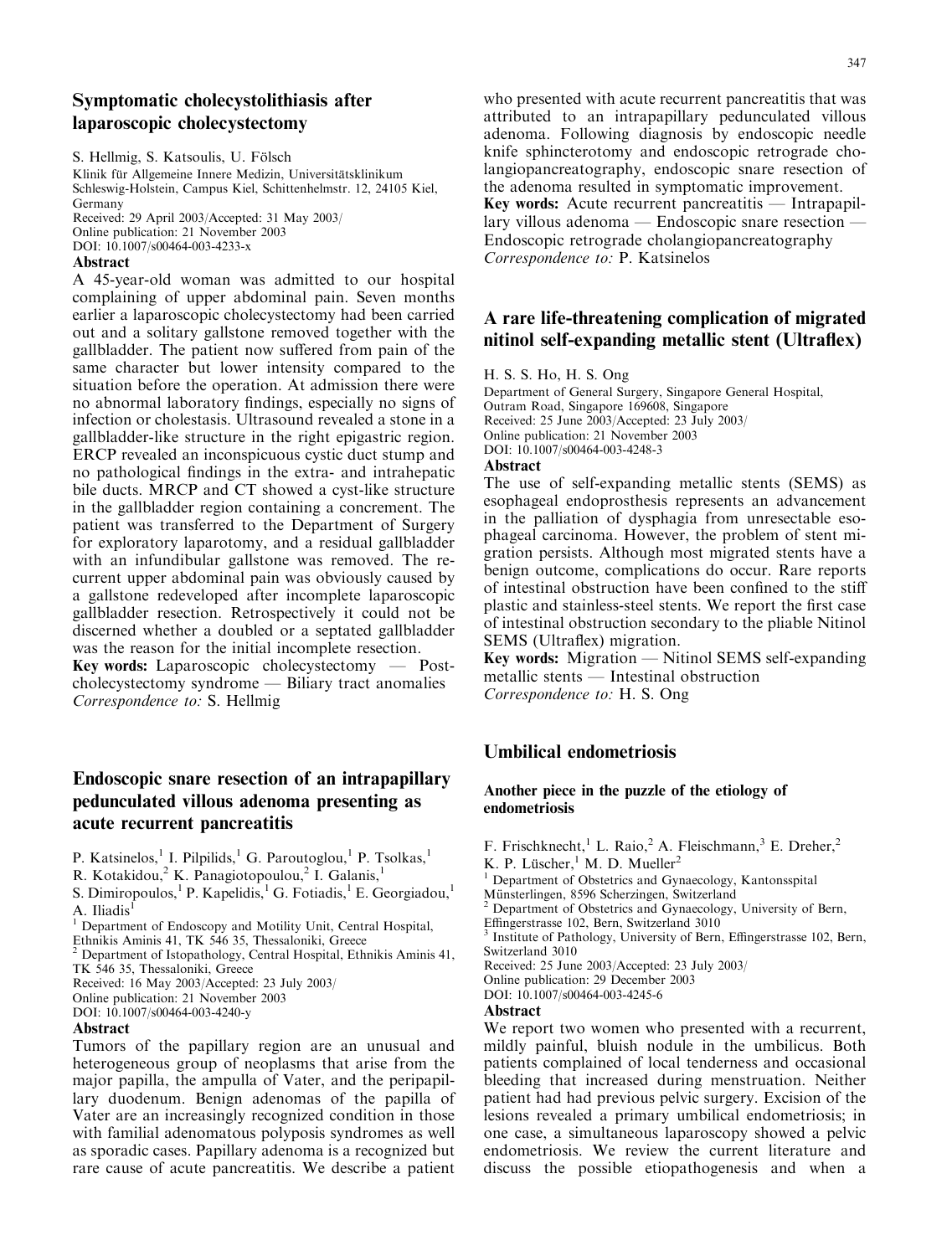# Symptomatic cholecystolithiasis after laparoscopic cholecystectomy

S. Hellmig, S. Katsoulis, U. Fölsch

Klinik für Allgemeine Innere Medizin, Universitätsklinikum Schleswig-Holstein, Campus Kiel, Schittenhelmstr. 12, 24105 Kiel, Germany Received: 29 April 2003/Accepted: 31 May 2003/ Online publication: 21 November 2003

DOI: 10.1007/s00464-003-4233-x

### Abstract

A 45-year-old woman was admitted to our hospital complaining of upper abdominal pain. Seven months earlier a laparoscopic cholecystectomy had been carried out and a solitary gallstone removed together with the gallbladder. The patient now suffered from pain of the same character but lower intensity compared to the situation before the operation. At admission there were no abnormal laboratory findings, especially no signs of infection or cholestasis. Ultrasound revealed a stone in a gallbladder-like structure in the right epigastric region. ERCP revealed an inconspicuous cystic duct stump and no pathological findings in the extra- and intrahepatic bile ducts. MRCP and CT showed a cyst-like structure in the gallbladder region containing a concrement. The patient was transferred to the Department of Surgery for exploratory laparotomy, and a residual gallbladder with an infundibular gallstone was removed. The recurrent upper abdominal pain was obviously caused by a gallstone redeveloped after incomplete laparoscopic gallbladder resection. Retrospectively it could not be discerned whether a doubled or a septated gallbladder was the reason for the initial incomplete resection. Key words: Laparoscopic cholecystectomy — Postcholecystectomy syndrome — Biliary tract anomalies Correspondence to: S. Hellmig

## Endoscopic snare resection of an intrapapillary pedunculated villous adenoma presenting as acute recurrent pancreatitis

P. Katsinelos,<sup>1</sup> I. Pilpilids,<sup>1</sup> G. Paroutoglou,<sup>1</sup> P. Tsolkas,<sup>1</sup>

R. Kotakidou,<sup>2</sup> K. Panagiotopoulou,<sup>2</sup> I. Galanis,<sup>1</sup>

S. Dimiropoulos,<sup>1</sup> P. Kapelidis,<sup>1</sup> G. Fotiadis,<sup>1</sup> E. Georgiadou,<sup>1</sup> A. Iliadis<sup>1</sup>

<sup>1</sup> Department of Endoscopy and Motility Unit, Central Hospital,

Ethnikis Aminis 41, TK 546 35, Thessaloniki, Greece

<sup>2</sup> Department of Istopathology, Central Hospital, Ethnikis Aminis 41, TK 546 35, Thessaloniki, Greece

Received: 16 May 2003/Accepted: 23 July 2003/

Online publication: 21 November 2003

DOI: 10.1007/s00464-003-4240-y

### Abstract

Tumors of the papillary region are an unusual and heterogeneous group of neoplasms that arise from the major papilla, the ampulla of Vater, and the peripapillary duodenum. Benign adenomas of the papilla of Vater are an increasingly recognized condition in those with familial adenomatous polyposis syndromes as well as sporadic cases. Papillary adenoma is a recognized but rare cause of acute pancreatitis. We describe a patient

who presented with acute recurrent pancreatitis that was attributed to an intrapapillary pedunculated villous adenoma. Following diagnosis by endoscopic needle knife sphincterotomy and endoscopic retrograde cholangiopancreatography, endoscopic snare resection of the adenoma resulted in symptomatic improvement. Key words: Acute recurrent pancreatitis — Intrapapillary villous adenoma — Endoscopic snare resection — Endoscopic retrograde cholangiopancreatography Correspondence to: P. Katsinelos

## A rare life-threatening complication of migrated nitinol self-expanding metallic stent (Ultraflex)

H. S. S. Ho, H. S. Ong

Department of General Surgery, Singapore General Hospital, Outram Road, Singapore 169608, Singapore Received: 25 June 2003/Accepted: 23 July 2003/ Online publication: 21 November 2003 DOI: 10.1007/s00464-003-4248-3

## Abstract

The use of self-expanding metallic stents (SEMS) as esophageal endoprosthesis represents an advancement in the palliation of dysphagia from unresectable esophageal carcinoma. However, the problem of stent migration persists. Although most migrated stents have a benign outcome, complications do occur. Rare reports of intestinal obstruction have been confined to the stiff plastic and stainless-steel stents. We report the first case of intestinal obstruction secondary to the pliable Nitinol SEMS (Ultraflex) migration.

Key words: Migration — Nitinol SEMS self-expanding metallic stents — Intestinal obstruction Correspondence to: H. S. Ong

## Umbilical endometriosis

### Another piece in the puzzle of the etiology of endometriosis

F. Frischknecht,<sup>1</sup> L. Raio,<sup>2</sup> A. Fleischmann,<sup>3</sup> E. Dreher,<sup>2</sup>

K. P. Lüscher,  $^1$  M. D. Mueller<sup>2</sup>

<sup>1</sup> Department of Obstetrics and Gynaecology, Kantonsspital Münsterlingen, 8596 Scherzingen, Switzerland

<sup>2</sup> Department of Obstetrics and Gynaecology, University of Bern,

Effingerstrasse 102, Bern, Switzerland 3010

<sup>3</sup> Institute of Pathology, University of Bern, Effingerstrasse 102, Bern, Switzerland 3010

Received: 25 June 2003/Accepted: 23 July 2003/

Online publication: 29 December 2003

DOI: 10.1007/s00464-003-4245-6

#### Abstract

We report two women who presented with a recurrent, mildly painful, bluish nodule in the umbilicus. Both patients complained of local tenderness and occasional bleeding that increased during menstruation. Neither patient had had previous pelvic surgery. Excision of the lesions revealed a primary umbilical endometriosis; in one case, a simultaneous laparoscopy showed a pelvic endometriosis. We review the current literature and discuss the possible etiopathogenesis and when a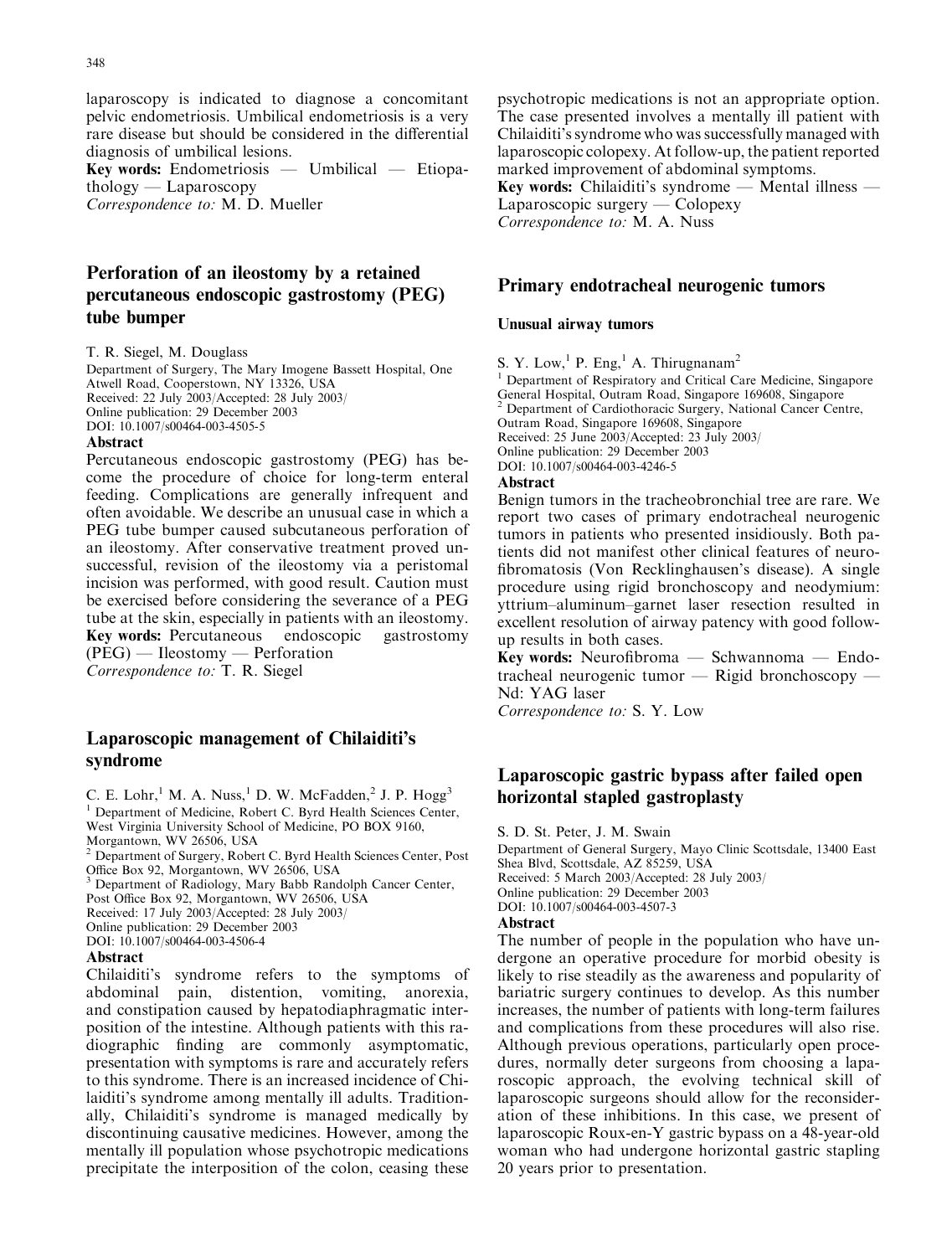laparoscopy is indicated to diagnose a concomitant pelvic endometriosis. Umbilical endometriosis is a very rare disease but should be considered in the differential diagnosis of umbilical lesions.

Key words: Endometriosis — Umbilical — Etiopathology — Laparoscopy Correspondence to: M. D. Mueller

# Perforation of an ileostomy by a retained percutaneous endoscopic gastrostomy (PEG) tube bumper

T. R. Siegel, M. Douglass

Department of Surgery, The Mary Imogene Bassett Hospital, One Atwell Road, Cooperstown, NY 13326, USA Received: 22 July 2003/Accepted: 28 July 2003/ Online publication: 29 December 2003 DOI: 10.1007/s00464-003-4505-5

#### Abstract

Percutaneous endoscopic gastrostomy (PEG) has become the procedure of choice for long-term enteral feeding. Complications are generally infrequent and often avoidable. We describe an unusual case in which a PEG tube bumper caused subcutaneous perforation of an ileostomy. After conservative treatment proved unsuccessful, revision of the ileostomy via a peristomal incision was performed, with good result. Caution must be exercised before considering the severance of a PEG tube at the skin, especially in patients with an ileostomy. Key words: Percutaneous endoscopic gastrostomy (PEG) — Ileostomy — Perforation Correspondence to: T. R. Siegel

## Laparoscopic management of Chilaiditi's syndrome

C. E. Lohr,<sup>1</sup> M. A. Nuss,<sup>1</sup> D. W. McFadden,<sup>2</sup> J. P. Hogg<sup>3</sup>

<sup>1</sup> Department of Medicine, Robert C. Byrd Health Sciences Center,

West Virginia University School of Medicine, PO BOX 9160,

Morgantown, WV 26506, USA

<sup>2</sup> Department of Surgery, Robert C. Byrd Health Sciences Center, Post Office Box 92, Morgantown, WV 26506, USA

Department of Radiology, Mary Babb Randolph Cancer Center,

Post Office Box 92, Morgantown, WV 26506, USA

Received: 17 July 2003/Accepted: 28 July 2003/

Online publication: 29 December 2003

DOI: 10.1007/s00464-003-4506-4

#### Abstract

Chilaiditi's syndrome refers to the symptoms of abdominal pain, distention, vomiting, anorexia, and constipation caused by hepatodiaphragmatic interposition of the intestine. Although patients with this radiographic finding are commonly asymptomatic, presentation with symptoms is rare and accurately refers to this syndrome. There is an increased incidence of Chilaiditi's syndrome among mentally ill adults. Traditionally, Chilaiditi's syndrome is managed medically by discontinuing causative medicines. However, among the mentally ill population whose psychotropic medications precipitate the interposition of the colon, ceasing these

psychotropic medications is not an appropriate option. The case presented involves a mentally ill patient with Chilaiditi's syndrome who was successfully managed with laparoscopic colopexy. At follow-up, the patient reported marked improvement of abdominal symptoms. Key words: Chilaiditi's syndrome — Mental illness —

Laparoscopic surgery — Colopexy Correspondence to: M. A. Nuss

### Primary endotracheal neurogenic tumors

#### Unusual airway tumors

S. Y. Low,  ${}^{1}$  P. Eng,  ${}^{1}$  A. Thirugnanam<sup>2</sup>

<sup>1</sup> Department of Respiratory and Critical Care Medicine, Singapore General Hospital, Outram Road, Singapore 169608, Singapore

Department of Cardiothoracic Surgery, National Cancer Centre,

Outram Road, Singapore 169608, Singapore

Received: 25 June 2003/Accepted: 23 July 2003/

Online publication: 29 December 2003

DOI: 10.1007/s00464-003-4246-5

#### Abstract

Benign tumors in the tracheobronchial tree are rare. We report two cases of primary endotracheal neurogenic tumors in patients who presented insidiously. Both patients did not manifest other clinical features of neurofibromatosis (Von Recklinghausen's disease). A single procedure using rigid bronchoscopy and neodymium: yttrium–aluminum–garnet laser resection resulted in excellent resolution of airway patency with good followup results in both cases.

Key words: Neurofibroma — Schwannoma — Endotracheal neurogenic tumor — Rigid bronchoscopy — Nd: YAG laser

Correspondence to: S. Y. Low

## Laparoscopic gastric bypass after failed open horizontal stapled gastroplasty

S. D. St. Peter, J. M. Swain

Department of General Surgery, Mayo Clinic Scottsdale, 13400 East Shea Blvd, Scottsdale, AZ 85259, USA Received: 5 March 2003/Accepted: 28 July 2003/ Online publication: 29 December 2003 DOI: 10.1007/s00464-003-4507-3

#### Abstract

The number of people in the population who have undergone an operative procedure for morbid obesity is likely to rise steadily as the awareness and popularity of bariatric surgery continues to develop. As this number increases, the number of patients with long-term failures and complications from these procedures will also rise. Although previous operations, particularly open procedures, normally deter surgeons from choosing a laparoscopic approach, the evolving technical skill of laparoscopic surgeons should allow for the reconsideration of these inhibitions. In this case, we present of laparoscopic Roux-en-Y gastric bypass on a 48-year-old woman who had undergone horizontal gastric stapling 20 years prior to presentation.